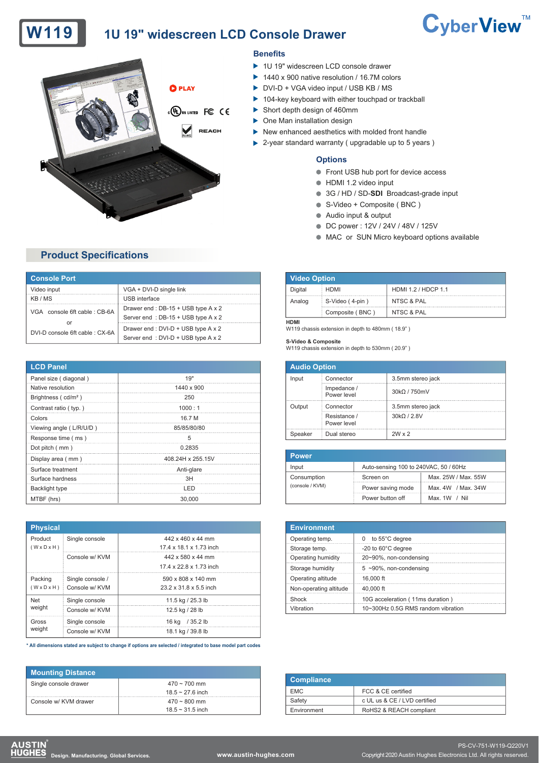# W119 1U 19" widescreen LCD Console Drawer



## **Product Specifications**

| <b>Console Port</b>                |                                    |
|------------------------------------|------------------------------------|
| Video input                        | VGA + DVI-D single link            |
| KB / MS                            | <b>USB</b> interface               |
| VGA console 6ft cable: CB-6A<br>or | Drawer end: DB-15 + USB type A x 2 |
|                                    | Server end: DB-15 + USB type A x 2 |
| DVI-D console 6ft cable: CX-6A     | Drawer end: DVI-D + USB type A x 2 |
|                                    | Server end: DVI-D + USB type A x 2 |

| <b>LCD Panel</b>        |                   |
|-------------------------|-------------------|
| Panel size (diagonal)   | 19"               |
| Native resolution       | 1440 x 900        |
| Brightness $(cd/m2)$    | 250               |
| Contrast ratio ( typ.)  | 1000:1            |
| Colors                  | 16.7 M            |
| Viewing angle (L/R/U/D) | 85/85/80/80       |
| Response time (ms)      | 5                 |
| Dot pitch (mm)          | 0.2835            |
| Display area (mm)       | 408.24H x 255.15V |
| Surface treatment       | Anti-glare        |
| Surface hardness        | 3H                |
| Backlight type          | LED               |
| MTBF (hrs)              | 30,000            |

| <b>Physical</b>         |                  |                         |
|-------------------------|------------------|-------------------------|
| Product                 | Single console   | 442 x 460 x 44 mm       |
| $(W \times D \times H)$ |                  | 17 4 x 18 1 x 1 73 inch |
|                         | Console w/ KVM   | 442 x 580 x 44 mm       |
|                         |                  | 17 4 x 22 8 x 1 73 inch |
| Packing                 | Single console / | 590 x 808 x 140 mm      |
| $(W \times D \times H)$ | Console w/ KVM   | 23.2 x 31.8 x 5.5 inch  |
| Net                     | Single console   | 11.5 kg / 25.3 lb       |
| weight                  | Console w/ KVM   | 12.5 kg / 28 lb         |
| Gross                   | Single console   | / 35.2 lb<br>16 ka      |
| weight                  | Console w/ KVM   | 18.1 kg / 39.8 lb       |

**\* All dimensions stated are subject to change if options are selected / integrated to base model part codes**

| <b>Mounting Distance</b> |                       |
|--------------------------|-----------------------|
| Single console drawer    | $470 \sim 700$ mm     |
|                          | $18.5 \sim 27.6$ inch |
| Console w/ KVM drawer    | $470 \sim 800$ mm     |
|                          | $18.5 \sim 31.5$ inch |

### **Benefits**

- ▶ 1U 19" widescreen LCD console drawer
- ▶ 1440 x 900 native resolution / 16.7M colors
- ▶ DVI-D + VGA video input / USB KB / MS
- ▶ 104-key keyboard with either touchpad or trackball
- Short depth design of 460mm
- ▶ One Man installation design
- $\blacktriangleright$  New enhanced aesthetics with molded front handle
- ▶ 2-year standard warranty ( upgradable up to 5 years )

#### **Options**

- **•** Front USB hub port for device access
- HDMI 1.2 video input
- 3G / HD / SD-**SDI** Broadcast-grade input
- S-Video + Composite (BNC)
- Audio input & output
- DC power : 12V / 24V / 48V / 125V
- $\bullet$  MAC or SUN Micro keyboard options available

CyberView<sup>™</sup>

| <b>Video Option</b> |                 |                     |
|---------------------|-----------------|---------------------|
| Digital             | HDMI            | HDMI 1.2 / HDCP 1.1 |
| Analog              | S-Video (4-pin) | NTSC & PAL          |
|                     | Composite (BNC) | NTSC & PAL          |
| UDMI                |                 |                     |

**HDMI** W119 chassis extension in depth to 480mm ( 18.9" )

**S-Video & Composite** W119 chassis extension in depth to 530mm ( 20.9" )

|         | <b>Audio Option</b>         |                   |  |  |
|---------|-----------------------------|-------------------|--|--|
| Input   | Connector                   | 3.5mm stereo jack |  |  |
|         | Impedance /<br>Power level  | 30kQ / 750mV      |  |  |
| Output  | Connector                   | 3.5mm stereo jack |  |  |
|         | Resistance /<br>Power level | 30kQ / 2.8V       |  |  |
| Speaker | Dual stereo                 | $2W \times 2$     |  |  |

| Power.                         |                                       |                     |
|--------------------------------|---------------------------------------|---------------------|
| Input                          | Auto-sensing 100 to 240VAC, 50 / 60Hz |                     |
| Consumption<br>(console / KVM) | Screen on                             | Max. 25W / Max. 55W |
|                                | Power saving mode                     | Max. 4W / Max. 34W  |
|                                | Power button off                      | Max. $1W / Nil$     |

| <b>Environment</b>     |                                    |
|------------------------|------------------------------------|
| Operating temp.        | to 55°C degree<br>$\Omega$         |
| Storage temp.          | -20 to 60°C degree                 |
| Operating humidity     | 20~90%, non-condensing             |
| Storage humidity       | $5$ ~90%, non-condensing           |
| Operating altitude     | 16,000 ft                          |
| Non-operating altitude | 40,000 ft                          |
| Shock                  | 10G acceleration (11ms duration)   |
| Vibration              | 10~300Hz 0.5G RMS random vibration |

| <b>Compliance</b> |                              |
|-------------------|------------------------------|
| <b>EMC</b>        | FCC & CE certified           |
| Safety            | c UL us & CE / LVD certified |
| Environment       | RoHS2 & REACH compliant      |